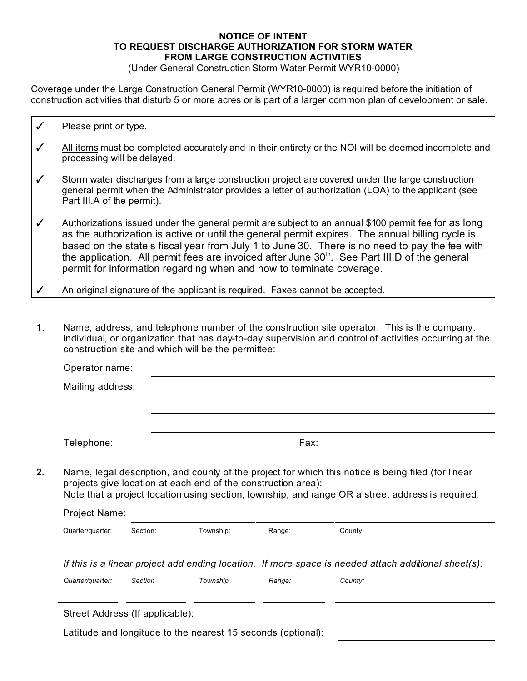## **NOTICE OF INTENT TO REQUEST DISCHARGE AUTHORIZATION FOR STORM WATER FROM LARGE CONSTRUCTION ACTIVITIES**

(Under General Construction Storm Water Permit WYR10-0000)

Coverage under the Large Construction General Permit (WYR10-0000) is required before the initiation of construction activities that disturb 5 or more acres or is part of a larger common plan of development or sale.

- $\checkmark$  Please print or type.
- $\checkmark$  All items must be completed accurately and in their entirety or the NOI will be deemed incomplete and processing will be delayed.
- $\checkmark$  Storm water discharges from a large construction project are covered under the large construction general permit when the Administrator provides a letter of authorization (LOA) to the applicant (see Part III.A of the permit).
- $\checkmark$  Authorizations issued under the general permit are subject to an annual \$100 permit fee for as long as the authorization is active or until the general permit expires. The annual billing cycle is based on the state's fiscal year from July 1 to June 30. There is no need to pay the fee with the application. All permit fees are invoiced after June  $30<sup>th</sup>$ . See Part III.D of the general permit for information regarding when and how to terminate coverage.
- An original signature of the applicant is required. Faxes cannot be accepted.
- 1. Name, address, and telephone number of the construction site operator. This is the company, individual, or organization that has day-to-day supervision and control of activities occurring at the construction site and which will be the permittee:

| Mailing address: |          |                                                               |        |                                                                                                      |
|------------------|----------|---------------------------------------------------------------|--------|------------------------------------------------------------------------------------------------------|
|                  |          |                                                               |        |                                                                                                      |
| Telephone:       |          | Fax:                                                          |        |                                                                                                      |
|                  |          | projects give location at each end of the construction area): |        | Name, legal description, and county of the project for which this notice is being filed (for linear  |
| Project Name:    |          |                                                               |        | Note that a project location using section, township, and range OR a street address is required.     |
| Quarter/quarter: | Section: | Township:                                                     | Range: | County:                                                                                              |
|                  |          |                                                               |        | If this is a linear project add ending location. If more space is needed attach additional sheet(s): |

Latitude and longitude to the nearest 15 seconds (optional):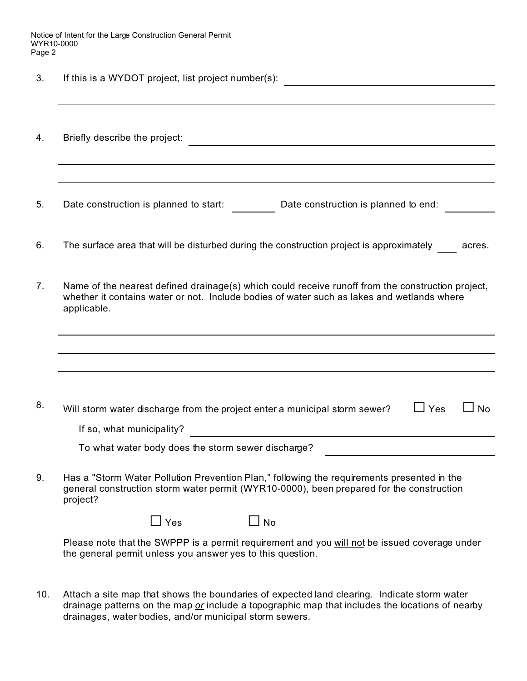Notice of Intent for the Large Construction General Permit WYR10-0000 Page 2

3. If this is a WYDOT project, list project number(s):

| 4. | Briefly describe the project:                                                                                                                                                                                  |  |  |  |
|----|----------------------------------------------------------------------------------------------------------------------------------------------------------------------------------------------------------------|--|--|--|
|    |                                                                                                                                                                                                                |  |  |  |
|    |                                                                                                                                                                                                                |  |  |  |
| 5. | Date construction is planned to end:<br>Date construction is planned to start:                                                                                                                                 |  |  |  |
| 6. | The surface area that will be disturbed during the construction project is approximately<br>acres.                                                                                                             |  |  |  |
| 7. | Name of the nearest defined drainage(s) which could receive runoff from the construction project,<br>whether it contains water or not. Include bodies of water such as lakes and wetlands where<br>applicable. |  |  |  |
|    |                                                                                                                                                                                                                |  |  |  |
|    |                                                                                                                                                                                                                |  |  |  |
|    |                                                                                                                                                                                                                |  |  |  |
| 8. | $\Box$ Yes<br><b>No</b><br>Will storm water discharge from the project enter a municipal storm sewer?                                                                                                          |  |  |  |
|    | If so, what municipality?<br><u> 1980 - Jan Samuel Barbara, martin di</u>                                                                                                                                      |  |  |  |
|    | To what water body does the storm sewer discharge?                                                                                                                                                             |  |  |  |
| 9. | Has a "Storm Water Pollution Prevention Plan," following the requirements presented in the<br>general construction storm water permit (WYR10-0000), been prepared for the construction<br>project?             |  |  |  |
|    | Yes<br><b>No</b>                                                                                                                                                                                               |  |  |  |

Please note that the SWPPP is a permit requirement and you will not be issued coverage under the general permit unless you answer yes to this question.

10. Attach a site map that shows the boundaries of expected land clearing. Indicate storm water drainage patterns on the map *or* include a topographic map that includes the locations of nearby drainages, water bodies, and/or municipal storm sewers.